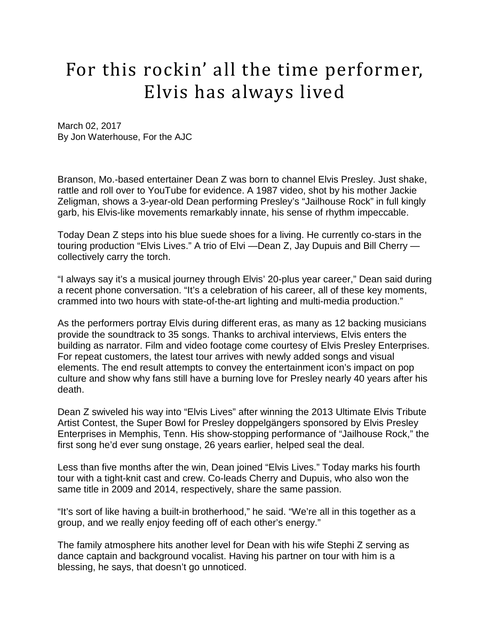## For this rockin' all the time performer, Elvis has always lived

March 02, 2017 By Jon Waterhouse, For the AJC

Branson, Mo.-based entertainer Dean Z was born to channel Elvis Presley. Just shake, rattle and roll over to YouTube for evidence. A 1987 video, shot by his mother Jackie Zeligman, shows a 3-year-old Dean performing Presley's "Jailhouse Rock" in full kingly garb, his Elvis-like movements remarkably innate, his sense of rhythm impeccable.

Today Dean Z steps into his blue suede shoes for a living. He currently co-stars in the touring production "Elvis Lives." A trio of Elvi —Dean Z, Jay Dupuis and Bill Cherry collectively carry the torch.

"I always say it's a musical journey through Elvis' 20-plus year career," Dean said during a recent phone conversation. "It's a celebration of his career, all of these key moments, crammed into two hours with state-of-the-art lighting and multi-media production."

As the performers portray Elvis during different eras, as many as 12 backing musicians provide the soundtrack to 35 songs. Thanks to archival interviews, Elvis enters the building as narrator. Film and video footage come courtesy of Elvis Presley Enterprises. For repeat customers, the latest tour arrives with newly added songs and visual elements. The end result attempts to convey the entertainment icon's impact on pop culture and show why fans still have a burning love for Presley nearly 40 years after his death.

Dean Z swiveled his way into "Elvis Lives" after winning the 2013 Ultimate Elvis Tribute Artist Contest, the Super Bowl for Presley doppelgängers sponsored by Elvis Presley Enterprises in Memphis, Tenn. His show-stopping performance of "Jailhouse Rock," the first song he'd ever sung onstage, 26 years earlier, helped seal the deal.

Less than five months after the win, Dean joined "Elvis Lives." Today marks his fourth tour with a tight-knit cast and crew. Co-leads Cherry and Dupuis, who also won the same title in 2009 and 2014, respectively, share the same passion.

"It's sort of like having a built-in brotherhood," he said. "We're all in this together as a group, and we really enjoy feeding off of each other's energy."

The family atmosphere hits another level for Dean with his wife Stephi Z serving as dance captain and background vocalist. Having his partner on tour with him is a blessing, he says, that doesn't go unnoticed.